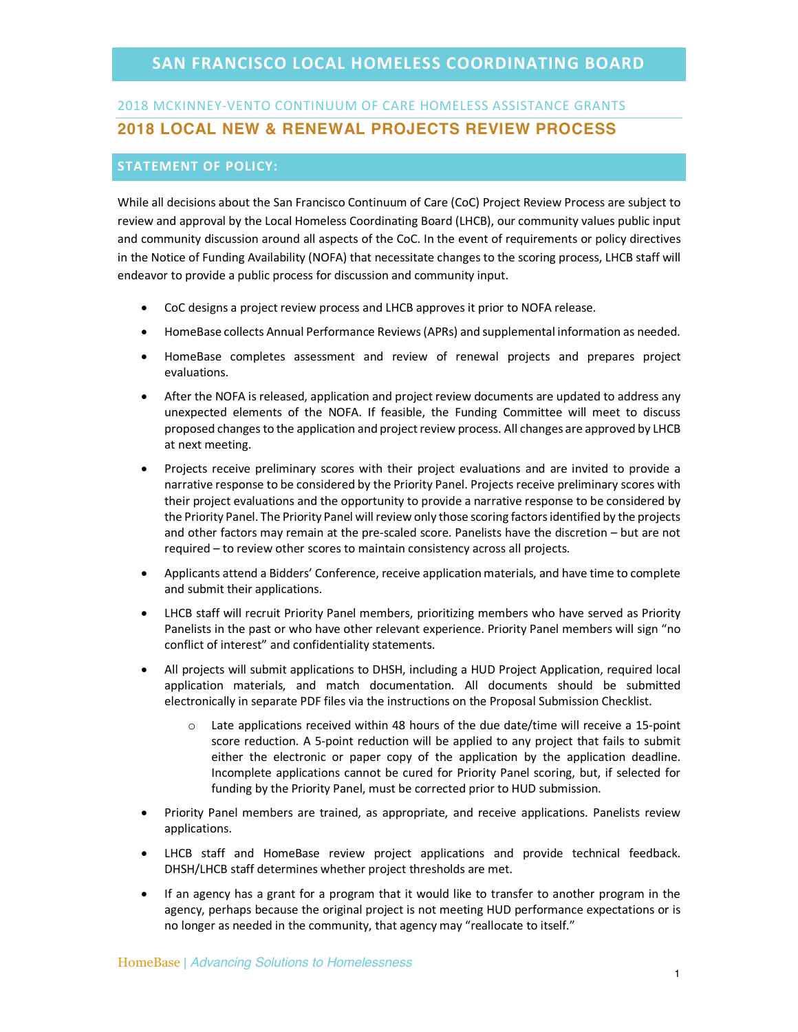### **SAN FRANCISCO LOCAL HOMELESS COORDINATING BOARD**

# 2018 MCKINNEY-VENTO CONTINUUM OF CARE HOMELESS ASSISTANCE GRANTS **2018 LOCAL NEW & RENEWAL PROJECTS REVIEW PROCESS**

#### **STATEMENT OF POLICY:**

While all decisions about the San Francisco Continuum of Care (CoC) Project Review Process are subject to review and approval by the Local Homeless Coordinating Board (LHCB), our community values public input and community discussion around all aspects of the CoC. In the event of requirements or policy directives in the Notice of Funding Availability (NOFA) that necessitate changes to the scoring process, LHCB staff will endeavor to provide a public process for discussion and community input.

- CoC designs a project review process and LHCB approves it prior to NOFA release.
- HomeBase collects Annual Performance Reviews (APRs) and supplemental information as needed.
- HomeBase completes assessment and review of renewal projects and prepares project evaluations.
- After the NOFA is released, application and project review documents are updated to address any unexpected elements of the NOFA. If feasible, the Funding Committee will meet to discuss proposed changes to the application and project review process. All changes are approved by LHCB at next meeting.
- Projects receive preliminary scores with their project evaluations and are invited to provide a narrative response to be considered by the Priority Panel. Projects receive preliminary scores with their project evaluations and the opportunity to provide a narrative response to be considered by the Priority Panel. The Priority Panel will review only those scoring factors identified by the projects and other factors may remain at the pre-scaled score. Panelists have the discretion – but are not required – to review other scores to maintain consistency across all projects.
- Applicants attend a Bidders' Conference, receive application materials, and have time to complete and submit their applications.
- LHCB staff will recruit Priority Panel members, prioritizing members who have served as Priority Panelists in the past or who have other relevant experience. Priority Panel members will sign "no conflict of interest" and confidentiality statements.
- All projects will submit applications to DHSH, including a HUD Project Application, required local application materials, and match documentation. All documents should be submitted electronically in separate PDF files via the instructions on the Proposal Submission Checklist.
	- $\circ$  Late applications received within 48 hours of the due date/time will receive a 15-point score reduction. A 5-point reduction will be applied to any project that fails to submit either the electronic or paper copy of the application by the application deadline. Incomplete applications cannot be cured for Priority Panel scoring, but, if selected for funding by the Priority Panel, must be corrected prior to HUD submission.
- Priority Panel members are trained, as appropriate, and receive applications. Panelists review applications.
- LHCB staff and HomeBase review project applications and provide technical feedback. DHSH/LHCB staff determines whether project thresholds are met.
- If an agency has a grant for a program that it would like to transfer to another program in the agency, perhaps because the original project is not meeting HUD performance expectations or is no longer as needed in the community, that agency may "reallocate to itself."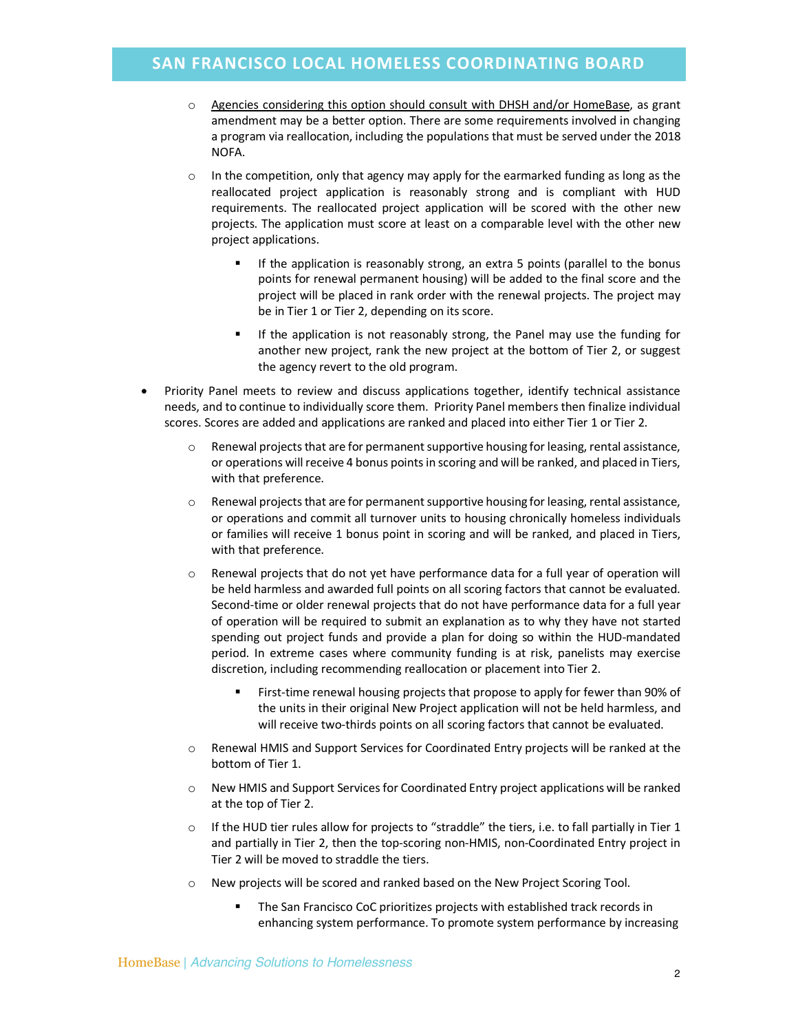### **SAN FRANCISCO LOCAL HOMELESS COORDINATING BOARD**

- o Agencies considering this option should consult with DHSH and/or HomeBase, as grant amendment may be a better option. There are some requirements involved in changing a program via reallocation, including the populations that must be served under the 2018 NOFA.
- $\circ$  In the competition, only that agency may apply for the earmarked funding as long as the reallocated project application is reasonably strong and is compliant with HUD requirements. The reallocated project application will be scored with the other new projects. The application must score at least on a comparable level with the other new project applications.
	- **•** If the application is reasonably strong, an extra 5 points (parallel to the bonus points for renewal permanent housing) will be added to the final score and the project will be placed in rank order with the renewal projects. The project may be in Tier 1 or Tier 2, depending on its score.
	- **•** If the application is not reasonably strong, the Panel may use the funding for another new project, rank the new project at the bottom of Tier 2, or suggest the agency revert to the old program.
- Priority Panel meets to review and discuss applications together, identify technical assistance needs, and to continue to individually score them. Priority Panel members then finalize individual scores. Scores are added and applications are ranked and placed into either Tier 1 or Tier 2.
	- $\circ$  Renewal projects that are for permanent supportive housing for leasing, rental assistance, or operations will receive 4 bonus points in scoring and will be ranked, and placed in Tiers, with that preference.
	- $\circ$  Renewal projects that are for permanent supportive housing for leasing, rental assistance, or operations and commit all turnover units to housing chronically homeless individuals or families will receive 1 bonus point in scoring and will be ranked, and placed in Tiers, with that preference.
	- o Renewal projects that do not yet have performance data for a full year of operation will be held harmless and awarded full points on all scoring factors that cannot be evaluated. Second-time or older renewal projects that do not have performance data for a full year of operation will be required to submit an explanation as to why they have not started spending out project funds and provide a plan for doing so within the HUD-mandated period. In extreme cases where community funding is at risk, panelists may exercise discretion, including recommending reallocation or placement into Tier 2.
		- § First-time renewal housing projects that propose to apply for fewer than 90% of the units in their original New Project application will not be held harmless, and will receive two-thirds points on all scoring factors that cannot be evaluated.
	- o Renewal HMIS and Support Services for Coordinated Entry projects will be ranked at the bottom of Tier 1.
	- o New HMIS and Support Services for Coordinated Entry project applications will be ranked at the top of Tier 2.
	- $\circ$  If the HUD tier rules allow for projects to "straddle" the tiers, i.e. to fall partially in Tier 1 and partially in Tier 2, then the top-scoring non-HMIS, non-Coordinated Entry project in Tier 2 will be moved to straddle the tiers.
	- o New projects will be scored and ranked based on the New Project Scoring Tool.
		- § The San Francisco CoC prioritizes projects with established track records in enhancing system performance. To promote system performance by increasing